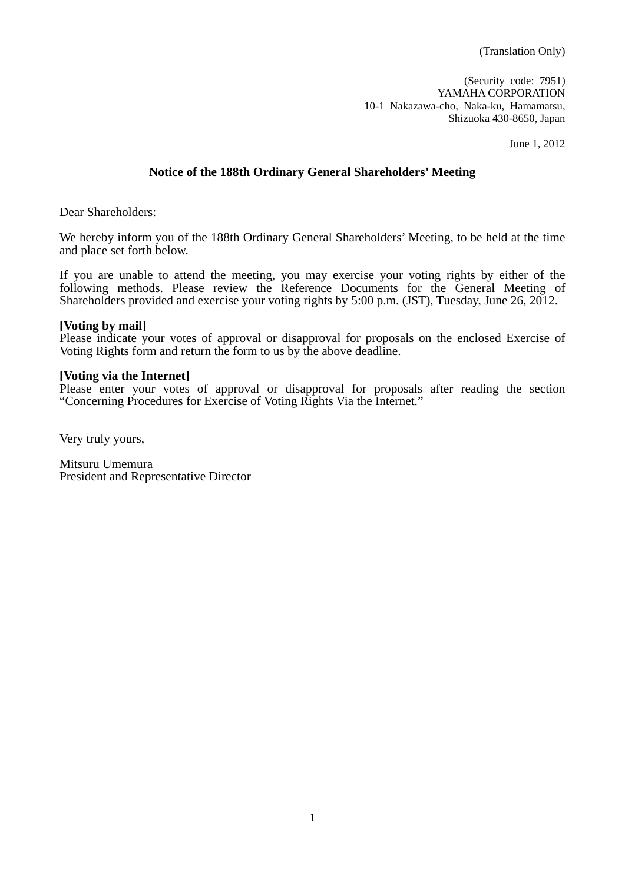(Security code: 7951) YAMAHA CORPORATION 10-1 Nakazawa-cho, Naka-ku, Hamamatsu, Shizuoka 430-8650, Japan

June 1, 2012

### **Notice of the 188th Ordinary General Shareholders' Meeting**

Dear Shareholders:

We hereby inform you of the 188th Ordinary General Shareholders' Meeting, to be held at the time and place set forth below.

If you are unable to attend the meeting, you may exercise your voting rights by either of the following methods. Please review the Reference Documents for the General Meeting of Shareholders provided and exercise your voting rights by 5:00 p.m. (JST), Tuesday, June 26, 2012.

### **[Voting by mail]**

Please indicate your votes of approval or disapproval for proposals on the enclosed Exercise of Voting Rights form and return the form to us by the above deadline.

### **[Voting via the Internet]**

Please enter your votes of approval or disapproval for proposals after reading the section "Concerning Procedures for Exercise of Voting Rights Via the Internet."

Very truly yours,

Mitsuru Umemura President and Representative Director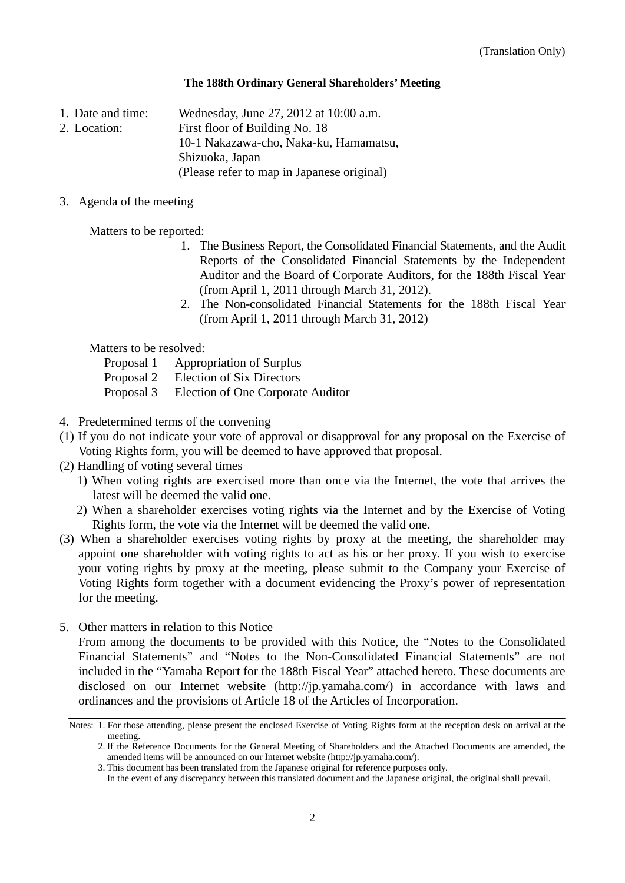### **The 188th Ordinary General Shareholders' Meeting**

1. Date and time: Wednesday, June 27, 2012 at 10:00 a.m.

2. Location: First floor of Building No. 18

10-1 Nakazawa-cho, Naka-ku, Hamamatsu,

Shizuoka, Japan

(Please refer to map in Japanese original)

3. Agenda of the meeting

Matters to be reported:

- 1. The Business Report, the Consolidated Financial Statements, and the Audit Reports of the Consolidated Financial Statements by the Independent Auditor and the Board of Corporate Auditors, for the 188th Fiscal Year (from April 1, 2011 through March 31, 2012).
- 2. The Non-consolidated Financial Statements for the 188th Fiscal Year (from April 1, 2011 through March 31, 2012)

Matters to be resolved:

- Proposal 1 Appropriation of Surplus
- Proposal 2 Election of Six Directors
- Proposal 3 Election of One Corporate Auditor
- 4. Predetermined terms of the convening
- (1) If you do not indicate your vote of approval or disapproval for any proposal on the Exercise of Voting Rights form, you will be deemed to have approved that proposal.
- (2) Handling of voting several times
	- 1) When voting rights are exercised more than once via the Internet, the vote that arrives the latest will be deemed the valid one.
	- 2) When a shareholder exercises voting rights via the Internet and by the Exercise of Voting Rights form, the vote via the Internet will be deemed the valid one.
- (3) When a shareholder exercises voting rights by proxy at the meeting, the shareholder may appoint one shareholder with voting rights to act as his or her proxy. If you wish to exercise your voting rights by proxy at the meeting, please submit to the Company your Exercise of Voting Rights form together with a document evidencing the Proxy's power of representation for the meeting.
- 5. Other matters in relation to this Notice

 From among the documents to be provided with this Notice, the "Notes to the Consolidated Financial Statements" and "Notes to the Non-Consolidated Financial Statements" are not included in the "Yamaha Report for the 188th Fiscal Year" attached hereto. These documents are disclosed on our Internet website (http://jp.yamaha.com/) in accordance with laws and ordinances and the provisions of Article 18 of the Articles of Incorporation.

Notes: 1. For those attending, please present the enclosed Exercise of Voting Rights form at the reception desk on arrival at the meeting.

<sup>2.</sup> If the Reference Documents for the General Meeting of Shareholders and the Attached Documents are amended, the amended items will be announced on our Internet website (http://jp.yamaha.com/).

<sup>3.</sup> This document has been translated from the Japanese original for reference purposes only.

In the event of any discrepancy between this translated document and the Japanese original, the original shall prevail.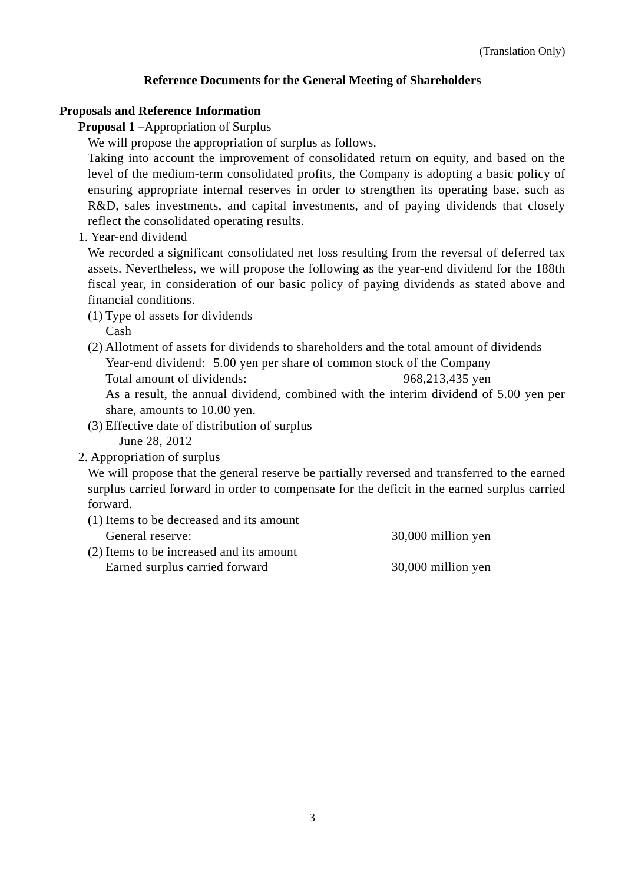# **Reference Documents for the General Meeting of Shareholders**

### **Proposals and Reference Information**

**Proposal 1** –Appropriation of Surplus

We will propose the appropriation of surplus as follows.

Taking into account the improvement of consolidated return on equity, and based on the level of the medium-term consolidated profits, the Company is adopting a basic policy of ensuring appropriate internal reserves in order to strengthen its operating base, such as R&D, sales investments, and capital investments, and of paying dividends that closely reflect the consolidated operating results.

1. Year-end dividend

We recorded a significant consolidated net loss resulting from the reversal of deferred tax assets. Nevertheless, we will propose the following as the year-end dividend for the 188th fiscal year, in consideration of our basic policy of paying dividends as stated above and financial conditions.

- (1) Type of assets for dividends Cash
- (2) Allotment of assets for dividends to shareholders and the total amount of dividends Year-end dividend: 5.00 yen per share of common stock of the Company Total amount of dividends: 968,213,435 yen

As a result, the annual dividend, combined with the interim dividend of 5.00 yen per share, amounts to 10.00 yen.

(3) Effective date of distribution of surplus

June 28, 2012

2. Appropriation of surplus

We will propose that the general reserve be partially reversed and transferred to the earned surplus carried forward in order to compensate for the deficit in the earned surplus carried forward.

(1) Items to be decreased and its amount General reserve:  $30,000$  million yen

(2) Items to be increased and its amount Earned surplus carried forward 30,000 million yen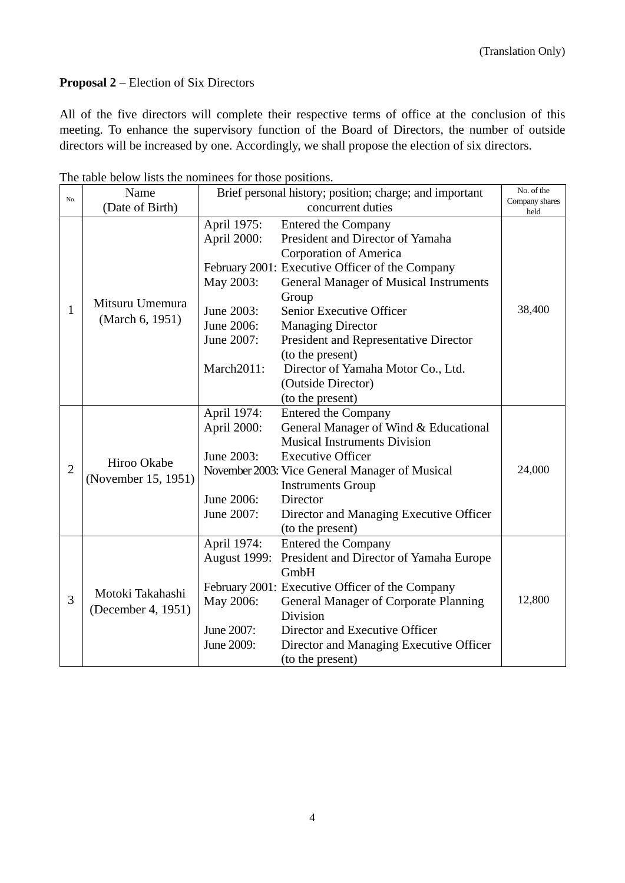# **Proposal 2** – Election of Six Directors

All of the five directors will complete their respective terms of office at the conclusion of this meeting. To enhance the supervisory function of the Board of Directors, the number of outside directors will be increased by one. Accordingly, we shall propose the election of six directors.

| No.            | Name                                   | Brief personal history; position; charge; and important |                                                 | No. of the             |
|----------------|----------------------------------------|---------------------------------------------------------|-------------------------------------------------|------------------------|
|                | (Date of Birth)                        | concurrent duties                                       |                                                 | Company shares<br>held |
| 1              | Mitsuru Umemura<br>(March 6, 1951)     | April 1975:                                             | Entered the Company                             |                        |
|                |                                        | April 2000:                                             | President and Director of Yamaha                |                        |
|                |                                        |                                                         | Corporation of America                          |                        |
|                |                                        |                                                         | February 2001: Executive Officer of the Company |                        |
|                |                                        | May 2003:                                               | <b>General Manager of Musical Instruments</b>   |                        |
|                |                                        |                                                         | Group                                           |                        |
|                |                                        | June 2003:                                              | <b>Senior Executive Officer</b>                 | 38,400                 |
|                |                                        | June 2006:                                              | <b>Managing Director</b>                        |                        |
|                |                                        | June 2007:                                              | President and Representative Director           |                        |
|                |                                        |                                                         | (to the present)                                |                        |
|                |                                        | March2011:                                              | Director of Yamaha Motor Co., Ltd.              |                        |
|                |                                        |                                                         | (Outside Director)                              |                        |
|                |                                        |                                                         | (to the present)                                |                        |
|                | Hiroo Okabe<br>(November 15, 1951)     | April 1974:                                             | <b>Entered the Company</b>                      |                        |
|                |                                        | April 2000:                                             | General Manager of Wind & Educational           |                        |
|                |                                        |                                                         | <b>Musical Instruments Division</b>             |                        |
|                |                                        | June 2003:                                              | <b>Executive Officer</b>                        |                        |
| $\overline{2}$ |                                        |                                                         | November 2003: Vice General Manager of Musical  | 24,000                 |
|                |                                        |                                                         | <b>Instruments Group</b>                        |                        |
|                |                                        | June 2006:                                              | Director                                        |                        |
|                |                                        | June 2007:                                              | Director and Managing Executive Officer         |                        |
|                |                                        |                                                         | (to the present)                                |                        |
|                | Motoki Takahashi<br>(December 4, 1951) | April 1974:                                             | <b>Entered the Company</b>                      |                        |
|                |                                        | <b>August 1999:</b>                                     | President and Director of Yamaha Europe         |                        |
|                |                                        |                                                         | GmbH                                            |                        |
|                |                                        |                                                         | February 2001: Executive Officer of the Company |                        |
| 3              |                                        | May 2006:                                               | <b>General Manager of Corporate Planning</b>    | 12,800                 |
|                |                                        |                                                         | Division                                        |                        |
|                |                                        | June 2007:                                              | Director and Executive Officer                  |                        |
|                |                                        | June 2009:                                              | Director and Managing Executive Officer         |                        |
|                |                                        |                                                         | (to the present)                                |                        |

The table below lists the nominees for those positions.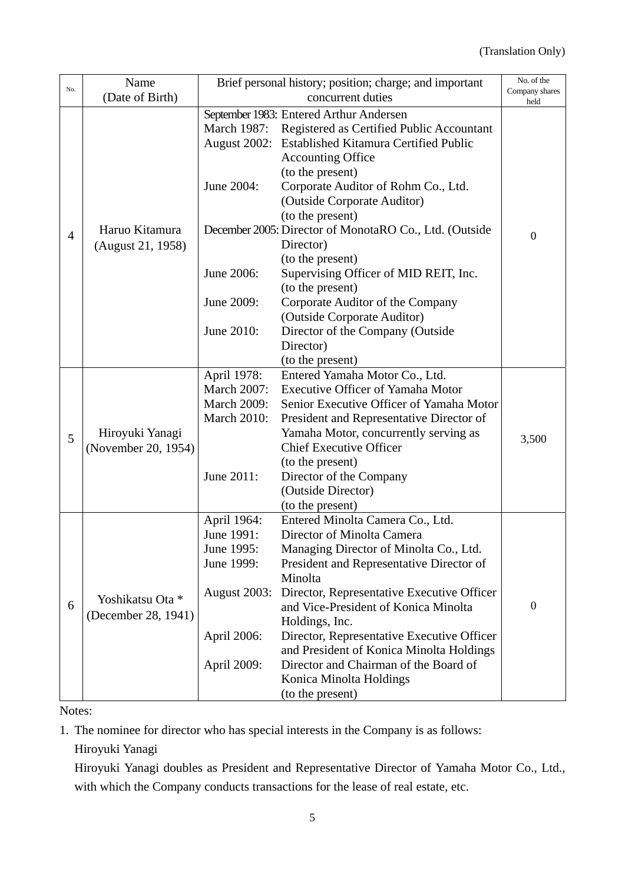|                | Name                                    | Brief personal history; position; charge; and important |                                                        | No. of the             |
|----------------|-----------------------------------------|---------------------------------------------------------|--------------------------------------------------------|------------------------|
| No.            | (Date of Birth)                         | concurrent duties                                       |                                                        | Company shares<br>held |
|                | September 1983: Entered Arthur Andersen |                                                         |                                                        |                        |
|                |                                         | March 1987:                                             | Registered as Certified Public Accountant              |                        |
|                | Haruo Kitamura<br>(August 21, 1958)     | August 2002:                                            | <b>Established Kitamura Certified Public</b>           |                        |
|                |                                         |                                                         | <b>Accounting Office</b>                               |                        |
|                |                                         |                                                         | (to the present)                                       |                        |
|                |                                         | June 2004:                                              | Corporate Auditor of Rohm Co., Ltd.                    |                        |
|                |                                         |                                                         | (Outside Corporate Auditor)                            |                        |
|                |                                         |                                                         | (to the present)                                       |                        |
|                |                                         |                                                         | December 2005: Director of MonotaRO Co., Ltd. (Outside |                        |
| $\overline{4}$ |                                         |                                                         | Director)                                              | $\boldsymbol{0}$       |
|                |                                         |                                                         | (to the present)                                       |                        |
|                |                                         | June 2006:                                              | Supervising Officer of MID REIT, Inc.                  |                        |
|                |                                         |                                                         | (to the present)                                       |                        |
|                |                                         | June 2009:                                              | Corporate Auditor of the Company                       |                        |
|                |                                         |                                                         | (Outside Corporate Auditor)                            |                        |
|                |                                         | June 2010:                                              | Director of the Company (Outside                       |                        |
|                |                                         |                                                         | Director)                                              |                        |
|                |                                         |                                                         | (to the present)                                       |                        |
|                | Hiroyuki Yanagi                         | April 1978:                                             | Entered Yamaha Motor Co., Ltd.                         |                        |
|                |                                         | <b>March 2007:</b>                                      | <b>Executive Officer of Yamaha Motor</b>               |                        |
|                |                                         | <b>March 2009:</b>                                      | Senior Executive Officer of Yamaha Motor               |                        |
|                |                                         | <b>March 2010:</b>                                      | President and Representative Director of               |                        |
| 5              |                                         |                                                         | Yamaha Motor, concurrently serving as                  | 3,500                  |
|                | (November 20, 1954)                     |                                                         | <b>Chief Executive Officer</b>                         |                        |
|                |                                         |                                                         | (to the present)                                       |                        |
|                |                                         | June 2011:                                              | Director of the Company                                |                        |
|                |                                         |                                                         | (Outside Director)                                     |                        |
|                |                                         |                                                         | (to the present)                                       |                        |
|                |                                         | April 1964:                                             | Entered Minolta Camera Co., Ltd.                       |                        |
|                | Yoshikatsu Ota *<br>(December 28, 1941) | June 1991:                                              | Director of Minolta Camera                             |                        |
|                |                                         | June 1995:                                              | Managing Director of Minolta Co., Ltd.                 |                        |
|                |                                         | June 1999:                                              | President and Representative Director of               |                        |
|                |                                         |                                                         | Minolta                                                |                        |
|                |                                         | <b>August 2003:</b>                                     | Director, Representative Executive Officer             |                        |
| 6              |                                         |                                                         | and Vice-President of Konica Minolta                   | $\boldsymbol{0}$       |
|                |                                         |                                                         | Holdings, Inc.                                         |                        |
|                |                                         | April 2006:                                             | Director, Representative Executive Officer             |                        |
|                |                                         |                                                         | and President of Konica Minolta Holdings               |                        |
|                |                                         | April 2009:                                             | Director and Chairman of the Board of                  |                        |
|                |                                         |                                                         | Konica Minolta Holdings                                |                        |
|                |                                         |                                                         | (to the present)                                       |                        |

Notes:

1. The nominee for director who has special interests in the Company is as follows:

Hiroyuki Yanagi

Hiroyuki Yanagi doubles as President and Representative Director of Yamaha Motor Co., Ltd., with which the Company conducts transactions for the lease of real estate, etc.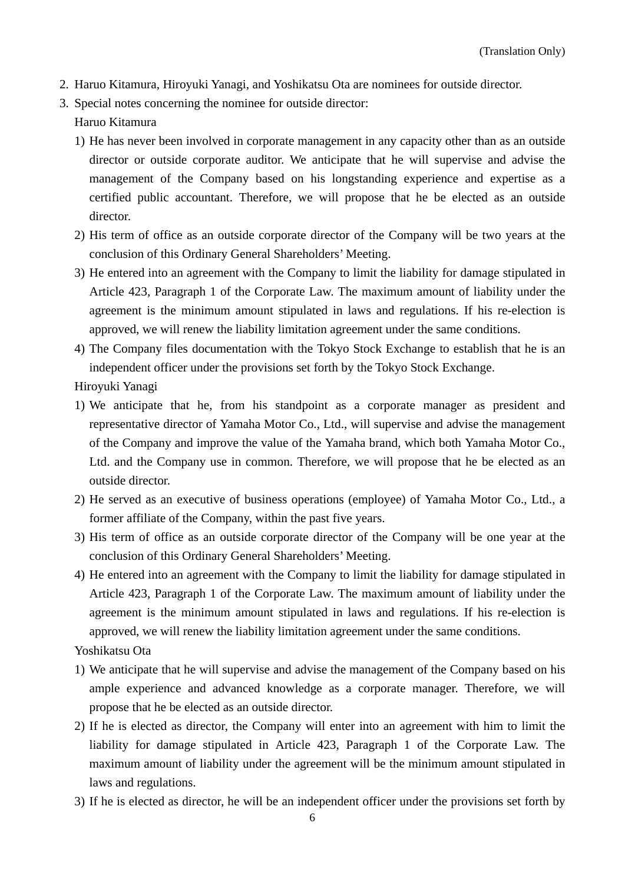- 2. Haruo Kitamura, Hiroyuki Yanagi, and Yoshikatsu Ota are nominees for outside director.
- 3. Special notes concerning the nominee for outside director:

### Haruo Kitamura

- 1) He has never been involved in corporate management in any capacity other than as an outside director or outside corporate auditor. We anticipate that he will supervise and advise the management of the Company based on his longstanding experience and expertise as a certified public accountant. Therefore, we will propose that he be elected as an outside director.
- 2) His term of office as an outside corporate director of the Company will be two years at the conclusion of this Ordinary General Shareholders' Meeting.
- 3) He entered into an agreement with the Company to limit the liability for damage stipulated in Article 423, Paragraph 1 of the Corporate Law. The maximum amount of liability under the agreement is the minimum amount stipulated in laws and regulations. If his re-election is approved, we will renew the liability limitation agreement under the same conditions.
- 4) The Company files documentation with the Tokyo Stock Exchange to establish that he is an independent officer under the provisions set forth by the Tokyo Stock Exchange.

Hiroyuki Yanagi

- 1) We anticipate that he, from his standpoint as a corporate manager as president and representative director of Yamaha Motor Co., Ltd., will supervise and advise the management of the Company and improve the value of the Yamaha brand, which both Yamaha Motor Co., Ltd. and the Company use in common. Therefore, we will propose that he be elected as an outside director.
- 2) He served as an executive of business operations (employee) of Yamaha Motor Co., Ltd., a former affiliate of the Company, within the past five years.
- 3) His term of office as an outside corporate director of the Company will be one year at the conclusion of this Ordinary General Shareholders' Meeting.
- 4) He entered into an agreement with the Company to limit the liability for damage stipulated in Article 423, Paragraph 1 of the Corporate Law. The maximum amount of liability under the agreement is the minimum amount stipulated in laws and regulations. If his re-election is approved, we will renew the liability limitation agreement under the same conditions.

Yoshikatsu Ota

- 1) We anticipate that he will supervise and advise the management of the Company based on his ample experience and advanced knowledge as a corporate manager. Therefore, we will propose that he be elected as an outside director.
- 2) If he is elected as director, the Company will enter into an agreement with him to limit the liability for damage stipulated in Article 423, Paragraph 1 of the Corporate Law. The maximum amount of liability under the agreement will be the minimum amount stipulated in laws and regulations.
- 3) If he is elected as director, he will be an independent officer under the provisions set forth by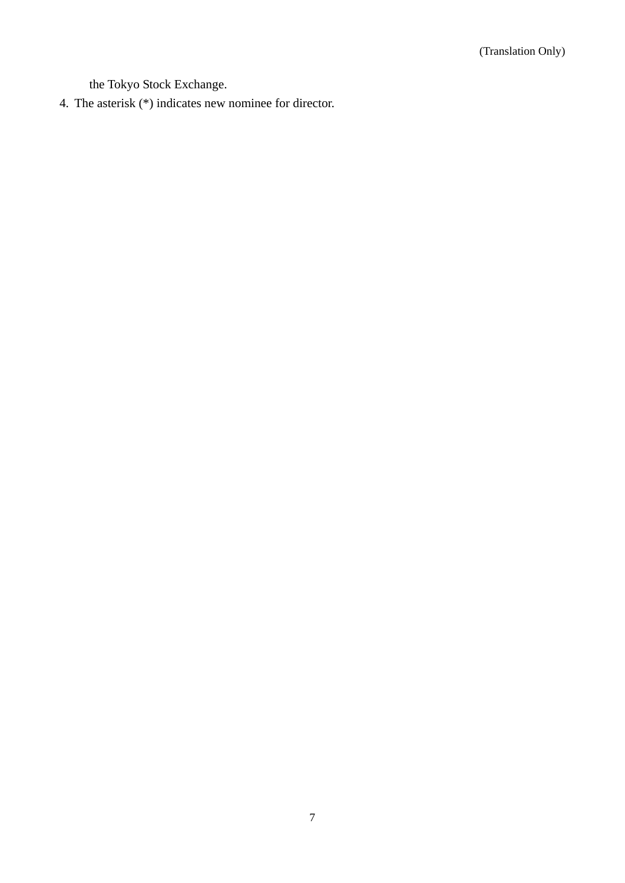the Tokyo Stock Exchange.

4. The asterisk (\*) indicates new nominee for director.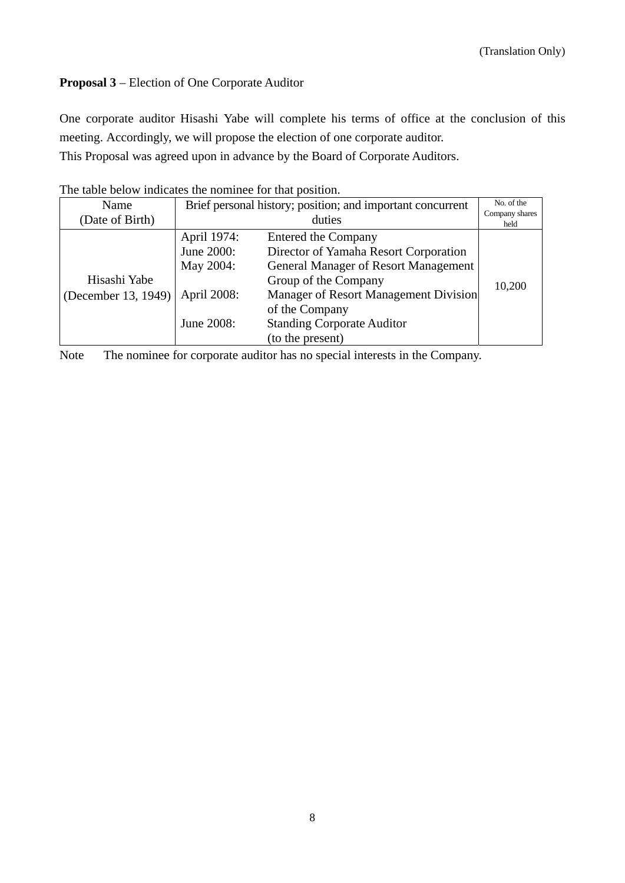# **Proposal 3** – Election of One Corporate Auditor

One corporate auditor Hisashi Yabe will complete his terms of office at the conclusion of this meeting. Accordingly, we will propose the election of one corporate auditor.

This Proposal was agreed upon in advance by the Board of Corporate Auditors.

| The thole oclon mightated the hommler for that position. |                                                            |                                             |                        |  |  |
|----------------------------------------------------------|------------------------------------------------------------|---------------------------------------------|------------------------|--|--|
| Name                                                     | Brief personal history; position; and important concurrent |                                             | No. of the             |  |  |
| (Date of Birth)                                          | duties                                                     |                                             | Company shares<br>held |  |  |
|                                                          | April 1974:                                                | <b>Entered the Company</b>                  |                        |  |  |
|                                                          | June 2000:                                                 | Director of Yamaha Resort Corporation       |                        |  |  |
|                                                          | May 2004:                                                  | <b>General Manager of Resort Management</b> |                        |  |  |
| Hisashi Yabe                                             |                                                            | Group of the Company                        | 10,200                 |  |  |
| (December 13, 1949)                                      | April 2008:                                                | Manager of Resort Management Division       |                        |  |  |
|                                                          |                                                            | of the Company                              |                        |  |  |
|                                                          | June 2008:                                                 | <b>Standing Corporate Auditor</b>           |                        |  |  |
|                                                          |                                                            | (to the present)                            |                        |  |  |

The table below indicates the nominee for that position.

Note The nominee for corporate auditor has no special interests in the Company.